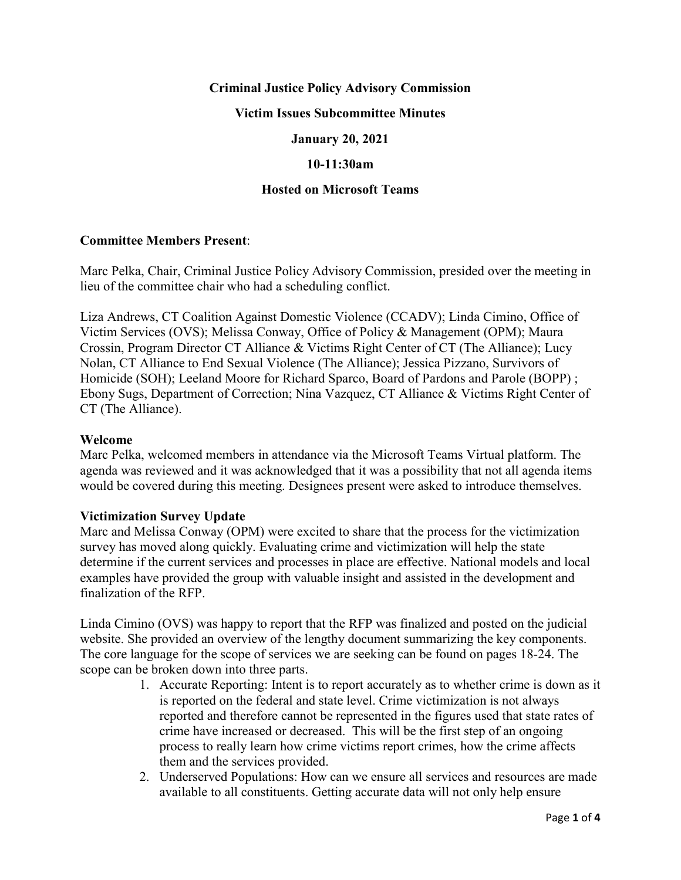# **Criminal Justice Policy Advisory Commission**

## **Victim Issues Subcommittee Minutes**

## **January 20, 2021**

### **10-11:30am**

## **Hosted on Microsoft Teams**

#### **Committee Members Present**:

Marc Pelka, Chair, Criminal Justice Policy Advisory Commission, presided over the meeting in lieu of the committee chair who had a scheduling conflict.

Liza Andrews, CT Coalition Against Domestic Violence (CCADV); Linda Cimino, Office of Victim Services (OVS); Melissa Conway, Office of Policy & Management (OPM); Maura Crossin, Program Director CT Alliance & Victims Right Center of CT (The Alliance); Lucy Nolan, CT Alliance to End Sexual Violence (The Alliance); Jessica Pizzano, Survivors of Homicide (SOH); Leeland Moore for Richard Sparco, Board of Pardons and Parole (BOPP) ; Ebony Sugs, Department of Correction; Nina Vazquez, CT Alliance & Victims Right Center of CT (The Alliance).

#### **Welcome**

Marc Pelka, welcomed members in attendance via the Microsoft Teams Virtual platform. The agenda was reviewed and it was acknowledged that it was a possibility that not all agenda items would be covered during this meeting. Designees present were asked to introduce themselves.

#### **Victimization Survey Update**

Marc and Melissa Conway (OPM) were excited to share that the process for the victimization survey has moved along quickly. Evaluating crime and victimization will help the state determine if the current services and processes in place are effective. National models and local examples have provided the group with valuable insight and assisted in the development and finalization of the RFP.

Linda Cimino (OVS) was happy to report that the RFP was finalized and posted on the judicial website. She provided an overview of the lengthy document summarizing the key components. The core language for the scope of services we are seeking can be found on pages 18-24. The scope can be broken down into three parts.

- 1. Accurate Reporting: Intent is to report accurately as to whether crime is down as it is reported on the federal and state level. Crime victimization is not always reported and therefore cannot be represented in the figures used that state rates of crime have increased or decreased. This will be the first step of an ongoing process to really learn how crime victims report crimes, how the crime affects them and the services provided.
- 2. Underserved Populations: How can we ensure all services and resources are made available to all constituents. Getting accurate data will not only help ensure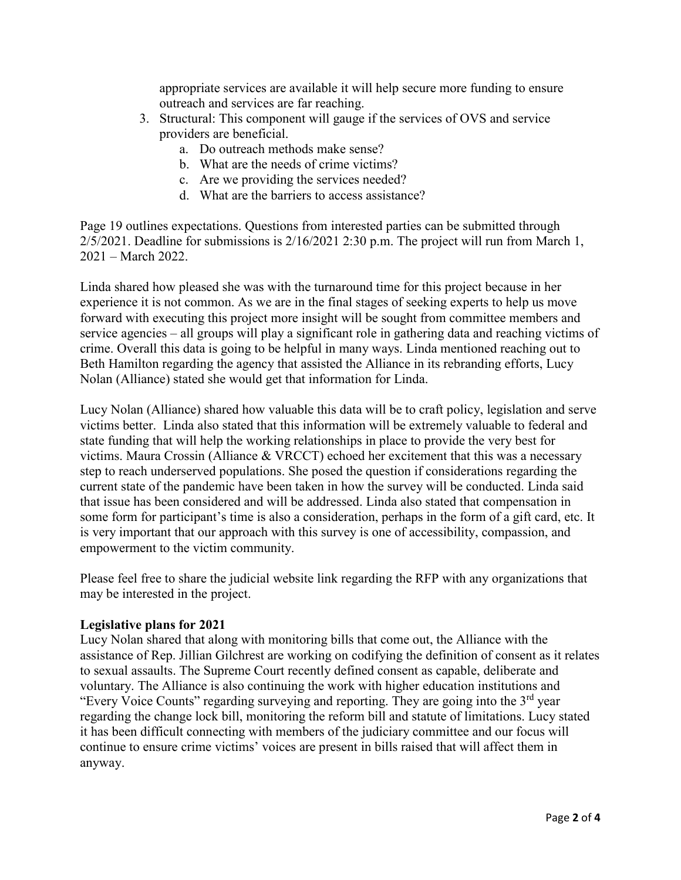appropriate services are available it will help secure more funding to ensure outreach and services are far reaching.

- 3. Structural: This component will gauge if the services of OVS and service providers are beneficial.
	- a. Do outreach methods make sense?
	- b. What are the needs of crime victims?
	- c. Are we providing the services needed?
	- d. What are the barriers to access assistance?

Page 19 outlines expectations. Questions from interested parties can be submitted through 2/5/2021. Deadline for submissions is 2/16/2021 2:30 p.m. The project will run from March 1, 2021 – March 2022.

Linda shared how pleased she was with the turnaround time for this project because in her experience it is not common. As we are in the final stages of seeking experts to help us move forward with executing this project more insight will be sought from committee members and service agencies – all groups will play a significant role in gathering data and reaching victims of crime. Overall this data is going to be helpful in many ways. Linda mentioned reaching out to Beth Hamilton regarding the agency that assisted the Alliance in its rebranding efforts, Lucy Nolan (Alliance) stated she would get that information for Linda.

Lucy Nolan (Alliance) shared how valuable this data will be to craft policy, legislation and serve victims better. Linda also stated that this information will be extremely valuable to federal and state funding that will help the working relationships in place to provide the very best for victims. Maura Crossin (Alliance & VRCCT) echoed her excitement that this was a necessary step to reach underserved populations. She posed the question if considerations regarding the current state of the pandemic have been taken in how the survey will be conducted. Linda said that issue has been considered and will be addressed. Linda also stated that compensation in some form for participant's time is also a consideration, perhaps in the form of a gift card, etc. It is very important that our approach with this survey is one of accessibility, compassion, and empowerment to the victim community.

Please feel free to share the judicial website link regarding the RFP with any organizations that may be interested in the project.

#### **Legislative plans for 2021**

Lucy Nolan shared that along with monitoring bills that come out, the Alliance with the assistance of Rep. Jillian Gilchrest are working on codifying the definition of consent as it relates to sexual assaults. The Supreme Court recently defined consent as capable, deliberate and voluntary. The Alliance is also continuing the work with higher education institutions and "Every Voice Counts" regarding surveying and reporting. They are going into the  $3<sup>rd</sup>$  year regarding the change lock bill, monitoring the reform bill and statute of limitations. Lucy stated it has been difficult connecting with members of the judiciary committee and our focus will continue to ensure crime victims' voices are present in bills raised that will affect them in anyway.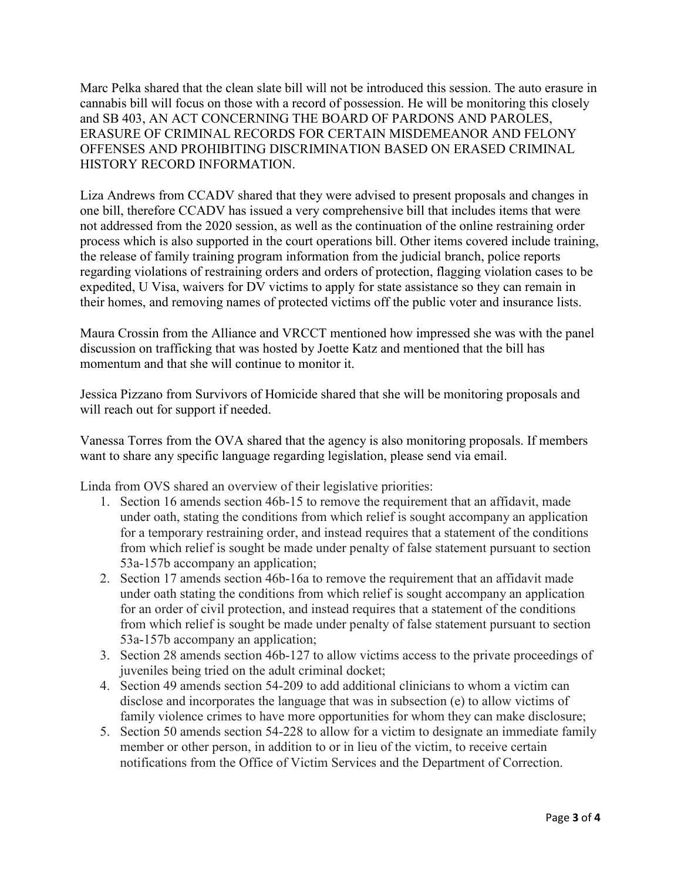Marc Pelka shared that the clean slate bill will not be introduced this session. The auto erasure in cannabis bill will focus on those with a record of possession. He will be monitoring this closely and SB 403, AN ACT CONCERNING THE BOARD OF PARDONS AND PAROLES, ERASURE OF CRIMINAL RECORDS FOR CERTAIN MISDEMEANOR AND FELONY OFFENSES AND PROHIBITING DISCRIMINATION BASED ON ERASED CRIMINAL HISTORY RECORD INFORMATION.

Liza Andrews from CCADV shared that they were advised to present proposals and changes in one bill, therefore CCADV has issued a very comprehensive bill that includes items that were not addressed from the 2020 session, as well as the continuation of the online restraining order process which is also supported in the court operations bill. Other items covered include training, the release of family training program information from the judicial branch, police reports regarding violations of restraining orders and orders of protection, flagging violation cases to be expedited, U Visa, waivers for DV victims to apply for state assistance so they can remain in their homes, and removing names of protected victims off the public voter and insurance lists.

Maura Crossin from the Alliance and VRCCT mentioned how impressed she was with the panel discussion on trafficking that was hosted by Joette Katz and mentioned that the bill has momentum and that she will continue to monitor it.

Jessica Pizzano from Survivors of Homicide shared that she will be monitoring proposals and will reach out for support if needed.

Vanessa Torres from the OVA shared that the agency is also monitoring proposals. If members want to share any specific language regarding legislation, please send via email.

Linda from OVS shared an overview of their legislative priorities:

- 1. Section 16 amends section 46b-15 to remove the requirement that an affidavit, made under oath, stating the conditions from which relief is sought accompany an application for a temporary restraining order, and instead requires that a statement of the conditions from which relief is sought be made under penalty of false statement pursuant to section 53a-157b accompany an application;
- 2. Section 17 amends section 46b-16a to remove the requirement that an affidavit made under oath stating the conditions from which relief is sought accompany an application for an order of civil protection, and instead requires that a statement of the conditions from which relief is sought be made under penalty of false statement pursuant to section 53a-157b accompany an application;
- 3. Section 28 amends section 46b-127 to allow victims access to the private proceedings of juveniles being tried on the adult criminal docket;
- 4. Section 49 amends section 54-209 to add additional clinicians to whom a victim can disclose and incorporates the language that was in subsection (e) to allow victims of family violence crimes to have more opportunities for whom they can make disclosure;
- 5. Section 50 amends section 54-228 to allow for a victim to designate an immediate family member or other person, in addition to or in lieu of the victim, to receive certain notifications from the Office of Victim Services and the Department of Correction.